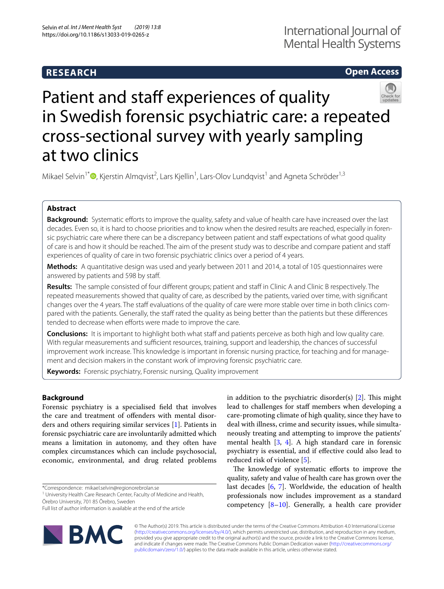# **RESEARCH**

# **Open Access**



# Patient and staff experiences of quality in Swedish forensic psychiatric care: a repeated cross-sectional survey with yearly sampling at two clinics

Mikael Selvin<sup>1\*</sup><sup>®</sup>[,](http://orcid.org/0000-0002-6769-492X) Kjerstin Almqvist<sup>2</sup>, Lars Kjellin<sup>1</sup>, Lars-Olov Lundqvist<sup>1</sup> and Agneta Schröder<sup>1,3</sup>

# **Abstract**

**Background:** Systematic efforts to improve the quality, safety and value of health care have increased over the last decades. Even so, it is hard to choose priorities and to know when the desired results are reached, especially in forensic psychiatric care where there can be a discrepancy between patient and staff expectations of what good quality of care is and how it should be reached. The aim of the present study was to describe and compare patient and staf experiences of quality of care in two forensic psychiatric clinics over a period of 4 years.

**Methods:** A quantitative design was used and yearly between 2011 and 2014, a total of 105 questionnaires were answered by patients and 598 by staf.

Results: The sample consisted of four different groups; patient and staff in Clinic A and Clinic B respectively. The repeated measurements showed that quality of care, as described by the patients, varied over time, with signifcant changes over the 4 years. The staff evaluations of the quality of care were more stable over time in both clinics compared with the patients. Generally, the staff rated the quality as being better than the patients but these differences tended to decrease when efforts were made to improve the care.

**Conclusions:** It is important to highlight both what staff and patients perceive as both high and low quality care. With regular measurements and sufficient resources, training, support and leadership, the chances of successful improvement work increase. This knowledge is important in forensic nursing practice, for teaching and for management and decision makers in the constant work of improving forensic psychiatric care.

**Keywords:** Forensic psychiatry, Forensic nursing, Quality improvement

# **Background**

Forensic psychiatry is a specialised feld that involves the care and treatment of ofenders with mental disorders and others requiring similar services [[1\]](#page-8-0). Patients in forensic psychiatric care are involuntarily admitted which means a limitation in autonomy, and they often have complex circumstances which can include psychosocial, economic, environmental, and drug related problems

\*Correspondence: mikael.selvin@regionorebrolan.se

<sup>1</sup> University Health Care Research Center, Faculty of Medicine and Health, Örebro University, 701 85 Örebro, Sweden

Full list of author information is available at the end of the article



in addition to the psychiatric disorder(s)  $[2]$  $[2]$ . This might lead to challenges for staff members when developing a care-promoting climate of high quality, since they have to deal with illness, crime and security issues, while simultaneously treating and attempting to improve the patients' mental health [[3,](#page-8-2) [4](#page-8-3)]. A high standard care in forensic psychiatry is essential, and if efective could also lead to reduced risk of violence [\[5](#page-8-4)].

The knowledge of systematic efforts to improve the quality, safety and value of health care has grown over the last decades [[6](#page-8-5), [7\]](#page-8-6). Worldwide, the education of health professionals now includes improvement as a standard competency  $[8-10]$  $[8-10]$ . Generally, a health care provider

© The Author(s) 2019. This article is distributed under the terms of the Creative Commons Attribution 4.0 International License [\(http://creativecommons.org/licenses/by/4.0/\)](http://creativecommons.org/licenses/by/4.0/), which permits unrestricted use, distribution, and reproduction in any medium, provided you give appropriate credit to the original author(s) and the source, provide a link to the Creative Commons license, and indicate if changes were made. The Creative Commons Public Domain Dedication waiver ([http://creativecommons.org/](http://creativecommons.org/publicdomain/zero/1.0/) [publicdomain/zero/1.0/](http://creativecommons.org/publicdomain/zero/1.0/)) applies to the data made available in this article, unless otherwise stated.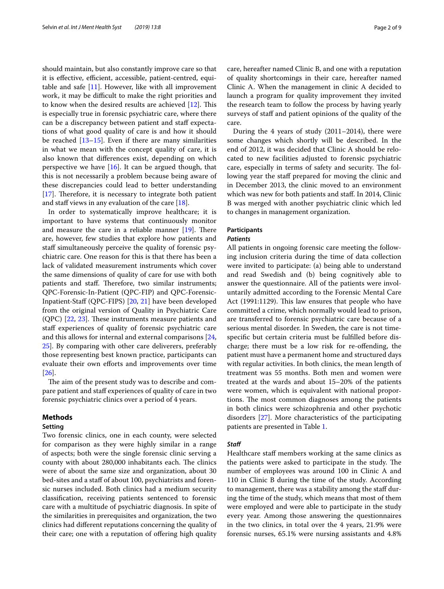should maintain, but also constantly improve care so that it is effective, efficient, accessible, patient-centred, equitable and safe  $[11]$  $[11]$ . However, like with all improvement work, it may be difficult to make the right priorities and to know when the desired results are achieved  $[12]$  $[12]$ . This is especially true in forensic psychiatric care, where there can be a discrepancy between patient and staf expectations of what good quality of care is and how it should be reached  $[13-15]$  $[13-15]$  $[13-15]$ . Even if there are many similarities in what we mean with the concept quality of care, it is also known that diferences exist, depending on which perspective we have  $[16]$  $[16]$  $[16]$ . It can be argued though, that this is not necessarily a problem because being aware of these discrepancies could lead to better understanding  $[17]$  $[17]$ . Therefore, it is necessary to integrate both patient and staff views in any evaluation of the care  $[18]$  $[18]$ .

In order to systematically improve healthcare; it is important to have systems that continuously monitor and measure the care in a reliable manner  $[19]$  $[19]$  $[19]$ . There are, however, few studies that explore how patients and staff simultaneously perceive the quality of forensic psychiatric care. One reason for this is that there has been a lack of validated measurement instruments which cover the same dimensions of quality of care for use with both patients and staff. Therefore, two similar instruments; QPC-Forensic-In-Patient (QPC-FIP) and QPC-Forensic-Inpatient-Staf (QPC-FIPS) [[20](#page-8-17), [21](#page-8-18)] have been developed from the original version of Quality in Psychiatric Care  $(QPC)$  [[22](#page-8-19), [23](#page-8-20)]. These instruments measure patients and staff experiences of quality of forensic psychiatric care and this allows for internal and external comparisons [\[24](#page-8-21), [25\]](#page-8-22). By comparing with other care deliverers, preferably those representing best known practice, participants can evaluate their own efforts and improvements over time [[26\]](#page-8-23).

The aim of the present study was to describe and compare patient and staff experiences of quality of care in two forensic psychiatric clinics over a period of 4 years.

## **Methods**

# **Setting**

Two forensic clinics, one in each county, were selected for comparison as they were highly similar in a range of aspects; both were the single forensic clinic serving a county with about 280,000 inhabitants each. The clinics were of about the same size and organization, about 30 bed-sites and a staff of about 100, psychiatrists and forensic nurses included. Both clinics had a medium security classifcation, receiving patients sentenced to forensic care with a multitude of psychiatric diagnosis. In spite of the similarities in prerequisites and organization, the two clinics had diferent reputations concerning the quality of their care; one with a reputation of offering high quality care, hereafter named Clinic B, and one with a reputation of quality shortcomings in their care, hereafter named Clinic A. When the management in clinic A decided to launch a program for quality improvement they invited the research team to follow the process by having yearly surveys of staff and patient opinions of the quality of the care.

During the 4 years of study (2011–2014), there were some changes which shortly will be described. In the end of 2012, it was decided that Clinic A should be relocated to new facilities adjusted to forensic psychiatric care, especially in terms of safety and security. The following year the staff prepared for moving the clinic and in December 2013, the clinic moved to an environment which was new for both patients and staf. In 2014, Clinic B was merged with another psychiatric clinic which led to changes in management organization.

#### **Participants**

#### *Patients*

All patients in ongoing forensic care meeting the following inclusion criteria during the time of data collection were invited to participate: (a) being able to understand and read Swedish and (b) being cognitively able to answer the questionnaire. All of the patients were involuntarily admitted according to the Forensic Mental Care Act (1991:1129). This law ensures that people who have committed a crime, which normally would lead to prison, are transferred to forensic psychiatric care because of a serious mental disorder. In Sweden, the care is not timespecifc but certain criteria must be fulflled before discharge; there must be a low risk for re-ofending, the patient must have a permanent home and structured days with regular activities. In both clinics, the mean length of treatment was 55 months. Both men and women were treated at the wards and about 15–20% of the patients were women, which is equivalent with national proportions. The most common diagnoses among the patients in both clinics were schizophrenia and other psychotic disorders [[27](#page-8-24)]. More characteristics of the participating patients are presented in Table [1.](#page-2-0)

#### *Staf*

Healthcare staff members working at the same clinics as the patients were asked to participate in the study. The number of employees was around 100 in Clinic A and 110 in Clinic B during the time of the study. According to management, there was a stability among the staf during the time of the study, which means that most of them were employed and were able to participate in the study every year. Among those answering the questionnaires in the two clinics, in total over the 4 years, 21.9% were forensic nurses, 65.1% were nursing assistants and 4.8%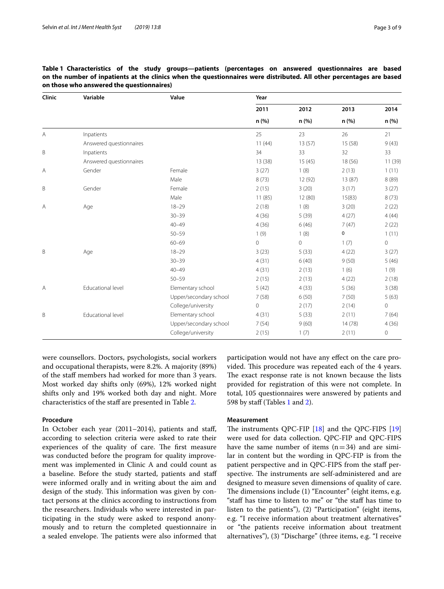| Clinic | Variable                | Value                  | Year           |               |               |               |
|--------|-------------------------|------------------------|----------------|---------------|---------------|---------------|
|        |                         |                        | 2011<br>n (%)  | 2012<br>n (%) | 2013<br>n (%) | 2014<br>n (%) |
|        |                         |                        |                |               |               |               |
| А      | Inpatients              |                        | 25             | 23            | 26            | 21            |
|        | Answered questionnaires |                        | 11(44)         | 13(57)        | 15 (58)       | 9(43)         |
| B      | Inpatients              |                        | 34             | 33            | 32            | 33            |
|        | Answered questionnaires |                        | 13 (38)        | 15(45)        | 18 (56)       | 11 (39)       |
| Α      | Gender                  | Female                 | 3(27)          | 1(8)          | 2(13)         | 1(11)         |
|        |                         | Male                   | 8(73)          | 12 (92)       | 13(87)        | 8(89)         |
| B      | Gender                  | Female                 | 2(15)          | 3(20)         | 3(17)         | 3(27)         |
|        |                         | Male                   | 11(85)         | 12(80)        | 15(83)        | 8(73)         |
| Α      | Age                     | $18 - 29$              | 2(18)          | 1(8)          | 3(20)         | 2(22)         |
|        |                         | $30 - 39$              | 4(36)          | 5(39)         | 4(27)         | 4(44)         |
|        |                         | $40 - 49$              | 4(36)          | 6(46)         | 7(47)         | 2(22)         |
|        |                         | $50 - 59$              | 1(9)           | 1(8)          | 0             | 1(11)         |
|        |                         | $60 - 69$              | $\overline{0}$ | $\mathbf 0$   | 1(7)          | $\circ$       |
| B      | Age                     | $18 - 29$              | 3(23)          | 5(33)         | 4(22)         | 3(27)         |
|        |                         | $30 - 39$              | 4(31)          | 6(40)         | 9(50)         | 5(46)         |
|        |                         | $40 - 49$              | 4(31)          | 2(13)         | 1(6)          | 1(9)          |
|        |                         | $50 - 59$              | 2(15)          | 2(13)         | 4(22)         | 2(18)         |
| Α      | Educational level       | Elementary school      | 5(42)          | 4(33)         | 5(36)         | 3(38)         |
|        |                         | Upper/secondary school | 7(58)          | 6(50)         | 7(50)         | 5(63)         |
|        |                         | College/university     | $\overline{0}$ | 2(17)         | 2(14)         | $\mathbf 0$   |
| B      | Educational level       | Elementary school      | 4(31)          | 5(33)         | 2(11)         | 7(64)         |
|        |                         | Upper/secondary school | 7(54)          | 9(60)         | 14(78)        | 4(36)         |
|        |                         | College/university     | 2(15)          | 1(7)          | 2(11)         | 0             |
|        |                         |                        |                |               |               |               |

<span id="page-2-0"></span>**Table 1 Characteristics of the study groups—patients (percentages on answered questionnaires are based on the number of inpatients at the clinics when the questionnaires were distributed. All other percentages are based on those who answered the questionnaires)**

were counsellors. Doctors, psychologists, social workers and occupational therapists, were 8.2%. A majority (89%) of the staf members had worked for more than 3 years. Most worked day shifts only (69%), 12% worked night shifts only and 19% worked both day and night. More characteristics of the staff are presented in Table [2.](#page-3-0)

#### **Procedure**

In October each year (2011–2014), patients and staf, according to selection criteria were asked to rate their experiences of the quality of care. The first measure was conducted before the program for quality improvement was implemented in Clinic A and could count as a baseline. Before the study started, patients and staf were informed orally and in writing about the aim and design of the study. This information was given by contact persons at the clinics according to instructions from the researchers. Individuals who were interested in participating in the study were asked to respond anonymously and to return the completed questionnaire in a sealed envelope. The patients were also informed that

participation would not have any efect on the care provided. This procedure was repeated each of the 4 years. The exact response rate is not known because the lists provided for registration of this were not complete. In total, 105 questionnaires were answered by patients and 598 by staff (Tables [1](#page-2-0) and [2\)](#page-3-0).

#### **Measurement**

The instruments QPC-FIP  $[18]$  $[18]$  and the QPC-FIPS  $[19]$  $[19]$  $[19]$ were used for data collection. QPC-FIP and QPC-FIPS have the same number of items  $(n=34)$  and are similar in content but the wording in QPC-FIP is from the patient perspective and in QPC-FIPS from the staff perspective. The instruments are self-administered and are designed to measure seven dimensions of quality of care. The dimensions include (1) "Encounter" (eight items, e.g. "staff has time to listen to me" or "the staff has time to listen to the patients"), (2) "Participation" (eight items, e.g. "I receive information about treatment alternatives" or "the patients receive information about treatment alternatives"), (3) "Discharge" (three items, e.g. "I receive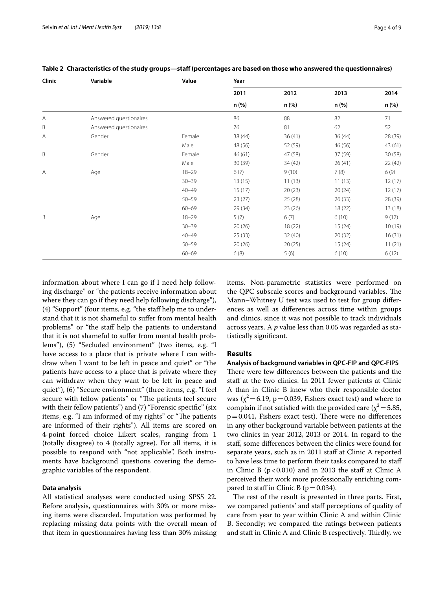| Clinic | Variable               | Value     | Year          |               |               |               |   |                        |
|--------|------------------------|-----------|---------------|---------------|---------------|---------------|---|------------------------|
|        |                        |           | 2011<br>n (%) | 2012<br>n (%) | 2013<br>n (%) | 2014<br>n (%) |   |                        |
|        |                        |           |               |               |               |               | A | Answered questionaires |
| B      | Answered questionaires |           | 76            | 81            | 62            | 52            |   |                        |
| Α      | Gender                 | Female    | 38 (44)       | 36(41)        | 36(44)        | 28 (39)       |   |                        |
|        |                        | Male      | 48 (56)       | 52 (59)       | 46 (56)       | 43 (61)       |   |                        |
| B      | Gender                 | Female    | 46(61)        | 47 (58)       | 37 (59)       | 30 (58)       |   |                        |
|        |                        | Male      | 30 (39)       | 34 (42)       | 26(41)        | 22 (42)       |   |                        |
| A      | Age                    | $18 - 29$ | 6(7)          | 9(10)         | 7(8)          | 6(9)          |   |                        |
|        |                        | $30 - 39$ | 13(15)        | 11(13)        | 11(13)        | 12(17)        |   |                        |
|        |                        | $40 - 49$ | 15(17)        | 20(23)        | 20(24)        | 12(17)        |   |                        |
|        |                        | $50 - 59$ | 23(27)        | 25 (28)       | 26(33)        | 28 (39)       |   |                        |
|        |                        | $60 - 69$ | 29(34)        | 23(26)        | 18 (22)       | 13 (18)       |   |                        |
| B      | Age                    | $18 - 29$ | 5(7)          | 6(7)          | 6(10)         | 9(17)         |   |                        |
|        |                        | $30 - 39$ | 20(26)        | 18 (22)       | 15(24)        | 10 (19)       |   |                        |
|        |                        | $40 - 49$ | 25(33)        | 32(40)        | 20(32)        | 16(31)        |   |                        |
|        |                        | $50 - 59$ | 20(26)        | 20(25)        | 15(24)        | 11(21)        |   |                        |
|        |                        | $60 - 69$ | 6(8)          | 5(6)          | 6(10)         | 6(12)         |   |                        |

<span id="page-3-0"></span>**Table 2 Characteristics of the study groups—staf (percentages are based on those who answered the questionnaires)**

information about where I can go if I need help following discharge" or "the patients receive information about where they can go if they need help following discharge"), (4) "Support" (four items, e.g. "the staf help me to understand that it is not shameful to sufer from mental health problems" or "the staf help the patients to understand that it is not shameful to sufer from mental health problems"), (5) "Secluded environment" (two items, e.g. "I have access to a place that is private where I can withdraw when I want to be left in peace and quiet" or "the patients have access to a place that is private where they can withdraw when they want to be left in peace and quiet"), (6) "Secure environment" (three items, e.g. "I feel secure with fellow patients" or "The patients feel secure with their fellow patients") and (7) "Forensic specific" (six items, e.g. "I am informed of my rights" or "The patients are informed of their rights"). All items are scored on 4-point forced choice Likert scales, ranging from 1 (totally disagree) to 4 (totally agree). For all items, it is possible to respond with "not applicable". Both instruments have background questions covering the demographic variables of the respondent.

#### **Data analysis**

All statistical analyses were conducted using SPSS 22. Before analysis, questionnaires with 30% or more missing items were discarded. Imputation was performed by replacing missing data points with the overall mean of that item in questionnaires having less than 30% missing items. Non-parametric statistics were performed on the QPC subscale scores and background variables. The Mann–Whitney U test was used to test for group diferences as well as diferences across time within groups and clinics, since it was not possible to track individuals across years. A *p* value less than 0.05 was regarded as statistically signifcant.

## **Results**

# **Analysis of background variables in QPC‑FIP and QPC‑FIPS** There were few differences between the patients and the staff at the two clinics. In 2011 fewer patients at Clinic A than in Clinic B knew who their responsible doctor was ( $\chi^2$  = 6.19, p = 0.039, Fishers exact test) and where to complain if not satisfied with the provided care ( $\chi^2$  = 5.85,  $p=0.041$ , Fishers exact test). There were no differences in any other background variable between patients at the two clinics in year 2012, 2013 or 2014. In regard to the staf, some diferences between the clinics were found for separate years, such as in 2011 staff at Clinic A reported to have less time to perform their tasks compared to staf in Clinic B  $(p<0.010)$  and in 2013 the staff at Clinic A

The rest of the result is presented in three parts. First, we compared patients' and staf perceptions of quality of care from year to year within Clinic A and within Clinic B. Secondly; we compared the ratings between patients and staff in Clinic A and Clinic B respectively. Thirdly, we

perceived their work more professionally enriching com-

pared to staff in Clinic B ( $p = 0.034$ ).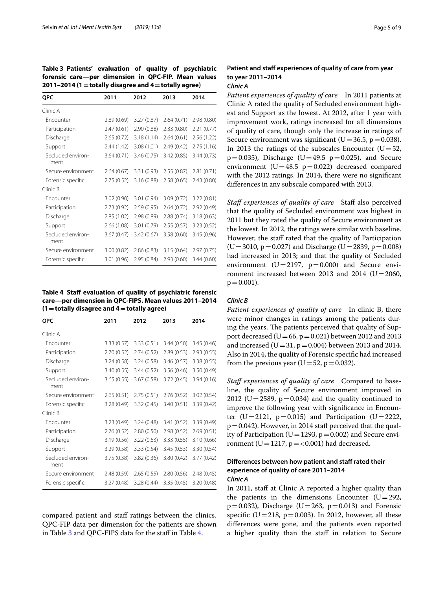<span id="page-4-0"></span>**Table 3 Patients' evaluation of quality of psychiatric forensic care—per dimension in QPC-FIP. Mean values 2011–2014 (1=totally disagree and 4=totally agree)**

| <b>QPC</b>                | 2011        | 2012        | 2013       | 2014        |
|---------------------------|-------------|-------------|------------|-------------|
| Clinic A                  |             |             |            |             |
| Encounter                 | 2.89(0.69)  | 3.27(0.87)  | 2.64(0.71) | 2.98(0.80)  |
| Participation             | 2.47(0.61)  | 2.90(0.88)  | 2.33(0.80) | 2.21(0.77)  |
| Discharge                 | 2.65(0.72)  | 3.18(1.14)  | 2.64(0.61) | 2.56 (1.22) |
| Support                   | 2.44(1.42)  | 3.08 (1.01) | 2.49(0.42) | 2.75(1.16)  |
| Secluded environ-<br>ment | 3.64(0.71)  | 3.46(0.75)  | 3.42(0.85) | 3.44(0.73)  |
| Secure environment        | 2.64(0.67)  | 3.31 (0.93) | 2.55(0.87) | 2.81(0.71)  |
| Forensic specific         | 2.75(0.52)  | 3.16(0.88)  | 2.58(0.65) | 2.43(0.80)  |
| Clinic B                  |             |             |            |             |
| Encounter                 | 3.02 (0.90) | 3.01 (0.94) | 3.09(0.72) | 3.22(0.81)  |
| Participation             | 2.73(0.92)  | 2.59(0.95)  | 2.64(0.72) | 2.92(0.49)  |
| Discharge                 | 2.85 (1.02) | 2.98 (0.89) | 2.88(0.74) | 3.18(0.63)  |
| Support                   | 2.66 (1.08) | 3.01 (0.79) | 2.55(0.57) | 3.23(0.52)  |
| Secluded environ-<br>ment | 3.67(0.47)  | 3.42(0.67)  | 3.58(0.60) | 3.45(0.96)  |
| Secure environment        | 3.00(0.82)  | 2.86(0.83)  | 3.15(0.64) | 2.97(0.75)  |
| Forensic specific         | 3.01 (0.96) | 2.95 (0.84) | 2.93(0.60) | 3.44(0.60)  |

<span id="page-4-1"></span>**Table 4 Staf evaluation of quality of psychiatric forensic care—per dimension in QPC-FIPS. Mean values 2011–2014 (1=totally disagree and 4=totally agree)**

| <b>QPC</b>                | 2011        | 2012        | 2013        | 2014        |
|---------------------------|-------------|-------------|-------------|-------------|
| Clinic A                  |             |             |             |             |
| Fncounter                 | 3.33(0.57)  | 3.33(0.51)  | 3.44(0.50)  | 3.45(0.46)  |
| Participation             | 2.70(0.52)  | 2.74(0.52)  | 2.89(0.53)  | 2.93(0.55)  |
| Discharge                 | 3.24(0.58)  | 3.24(0.58)  | 3.46(0.57)  | 3.38(0.55)  |
| Support                   | 3.40(0.55)  | 3.44(0.52)  | 3.56(0.46)  | 3.50 (0.49) |
| Secluded environ-<br>ment | 3.65(0.55)  | 3.67(0.58)  | 3.72(0.45)  | 3.94(0.16)  |
| Secure environment        | 2.65(0.51)  | 2.75(0.51)  | 2.76(0.52)  | 3.02(0.54)  |
| Forensic specific         | 3.28 (0.49) | 3.32(0.45)  | 3.40(0.51)  | 3.39(0.42)  |
| Clinic B                  |             |             |             |             |
| Encounter                 | 3.23 (0.49) | 3.24(0.48)  | 3.41 (0.52) | 3.39 (0.49) |
| Participation             | 2.76(0.52)  | 2.80(0.50)  | 2.98(0.52)  | 2.69(0.51)  |
| Discharge                 | 3.19(0.56)  | 3.22(0.63)  | 3.33(0.55)  | 3.10(0.66)  |
| Support                   | 3.29(0.58)  | 3.33 (0.54) | 3.45(0.53)  | 3.30 (0.54) |
| Secluded environ-<br>ment | 3.75(0.38)  | 3.82 (0.36) | 3.80(0.42)  | 3.77(0.42)  |
| Secure environment        | 2.48(0.59)  | 2.65(0.55)  | 2.80(0.56)  | 2.48(0.45)  |
| Forensic specific         | 3.27 (0.48) | 3.28(0.44)  | 3.35(0.45)  | 3.20 (0.48) |

compared patient and staf ratings between the clinics. QPC-FIP data per dimension for the patients are shown in Table [3](#page-4-0) and QPC-FIPS data for the staff in Table [4](#page-4-1).

# Patient and staff experiences of quality of care from year **to year 2011–2014**

#### *Clinic A*

*Patient experiences of quality of care* In 2011 patients at Clinic A rated the quality of Secluded environment highest and Support as the lowest. At 2012, after 1 year with improvement work, ratings increased for all dimensions of quality of care, though only the increase in ratings of Secure environment was significant  $(U=36.5, p=0.038)$ . In 2013 the ratings of the subscales Encounter ( $U=52$ ,  $p=0.035$ ), Discharge (U=49.5  $p=0.025$ ), and Secure environment ( $U=48.5$  p=0.022) decreased compared with the 2012 ratings. In 2014, there were no signifcant diferences in any subscale compared with 2013.

Staff experiences of quality of care Staff also perceived that the quality of Secluded environment was highest in 2011 but they rated the quality of Secure environment as the lowest. In 2012, the ratings were similar with baseline. However, the staff rated that the quality of Participation  $(U=3010, p=0.027)$  and Discharge  $(U=2839, p=0.008)$ had increased in 2013; and that the quality of Secluded environment  $(U=2197, p=0.000)$  and Secure environment increased between 2013 and 2014 ( $U=2060$ ,  $p = 0.001$ ).

# *Clinic B*

*Patient experiences of quality of care* In clinic B, there were minor changes in ratings among the patients during the years. The patients perceived that quality of Support decreased ( $U=66$ ,  $p=0.021$ ) between 2012 and 2013 and increased (U=31,  $p=0.004$ ) between 2013 and 2014. Also in 2014, the quality of Forensic specifc had increased from the previous year ( $U=52$ ,  $p=0.032$ ).

*Staf experiences of quality of care* Compared to baseline, the quality of Secure environment improved in 2012 (U=2589,  $p=0.034$ ) and the quality continued to improve the following year with signifcance in Encounter (U=2121,  $p=0.015$ ) and Participation (U=2222,  $p=0.042$ ). However, in 2014 staff perceived that the quality of Participation (U=1293,  $p=0.002$ ) and Secure environment (U = 1217,  $p = < 0.001$ ) had decreased.

# **Differences between how patient and staff rated their experience of quality of care 2011–2014** *Clinic A*

In 2011, staff at Clinic A reported a higher quality than the patients in the dimensions Encounter  $(U=292,$  $p=0.032$ ), Discharge (U=263,  $p=0.013$ ) and Forensic specific (U=218, p=0.003). In 2012, however, all these diferences were gone, and the patients even reported a higher quality than the staf in relation to Secure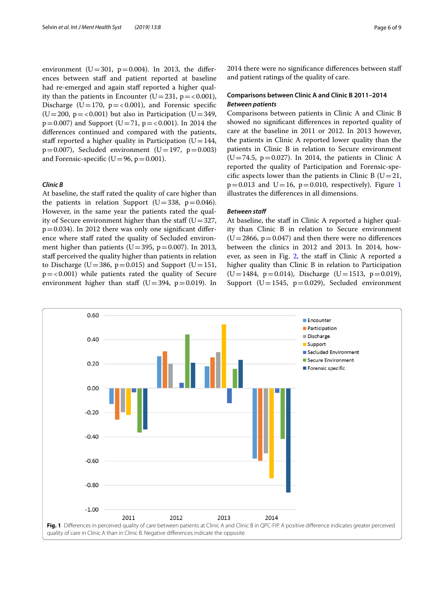environment (U=301, p=0.004). In 2013, the differences between staff and patient reported at baseline had re-emerged and again staff reported a higher quality than the patients in Encounter (U=231,  $p = < 0.001$ ), Discharge (U=170,  $p = < 0.001$ ), and Forensic specific (U=200,  $p = < 0.001$ ) but also in Participation (U=349,  $p=0.007$ ) and Support (U=71,  $p=<0.001$ ). In 2014 the diferences continued and compared with the patients, staff reported a higher quality in Participation ( $U=144$ ,  $p=0.007$ ), Secluded environment (U=197,  $p=0.003$ ) and Forensic-specific ( $U=96$ ,  $p=0.001$ ).

### *Clinic B*

At baseline, the staff rated the quality of care higher than the patients in relation Support ( $U=338$ ,  $p=0.046$ ). However, in the same year the patients rated the quality of Secure environment higher than the staff ( $U=327$ ,  $p=0.034$ ). In 2012 there was only one significant difference where staff rated the quality of Secluded environment higher than patients ( $U=395$ ,  $p=0.007$ ). In 2013, staff perceived the quality higher than patients in relation to Discharge (U=386, p=0.015) and Support (U=151,  $p = < 0.001$ ) while patients rated the quality of Secure environment higher than staff ( $U=394$ ,  $p=0.019$ ). In 2014 there were no significance differences between staff and patient ratings of the quality of care.

## **Comparisons between Clinic A and Clinic B 2011–2014** *Between patients*

Comparisons between patients in Clinic A and Clinic B showed no signifcant diferences in reported quality of care at the baseline in 2011 or 2012. In 2013 however, the patients in Clinic A reported lower quality than the patients in Clinic B in relation to Secure environment (U=74.5, p=0.027). In 2014, the patients in Clinic A reported the quality of Participation and Forensic-specific aspects lower than the patients in Clinic B ( $U=21$ ,  $p=0.013$  $p=0.013$  $p=0.013$  and U=16,  $p=0.010$ , respectively). Figure 1 illustrates the diferences in all dimensions.

## *Between staf*

At baseline, the staff in Clinic A reported a higher quality than Clinic B in relation to Secure environment  $(U=2866, p=0.047)$  and then there were no differences between the clinics in 2012 and 2013. In 2014, how-ever, as seen in Fig. [2](#page-6-0), the staff in Clinic A reported a higher quality than Clinic B in relation to Participation  $(U=1484, p=0.014)$ , Discharge  $(U=1513, p=0.019)$ , Support (U=1545,  $p=0.029$ ), Secluded environment

<span id="page-5-0"></span>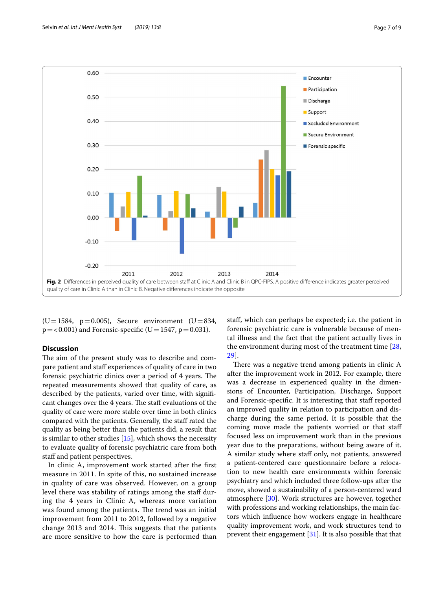

<span id="page-6-0"></span> $(U=1584, p=0.005)$ , Secure environment  $(U=834,$  $p = 0.001$  and Forensic-specific (U=1547, p=0.031).

## **Discussion**

The aim of the present study was to describe and compare patient and staf experiences of quality of care in two forensic psychiatric clinics over a period of 4 years. The repeated measurements showed that quality of care, as described by the patients, varied over time, with signifcant changes over the 4 years. The staff evaluations of the quality of care were more stable over time in both clinics compared with the patients. Generally, the staf rated the quality as being better than the patients did, a result that is similar to other studies [[15](#page-8-12)], which shows the necessity to evaluate quality of forensic psychiatric care from both staff and patient perspectives.

In clinic A, improvement work started after the frst measure in 2011. In spite of this, no sustained increase in quality of care was observed. However, on a group level there was stability of ratings among the staff during the 4 years in Clinic A, whereas more variation was found among the patients. The trend was an initial improvement from 2011 to 2012, followed by a negative change 2013 and 2014. This suggests that the patients are more sensitive to how the care is performed than staf, which can perhaps be expected; i.e. the patient in forensic psychiatric care is vulnerable because of mental illness and the fact that the patient actually lives in the environment during most of the treatment time [\[28](#page-8-25), [29\]](#page-8-26).

There was a negative trend among patients in clinic A after the improvement work in 2012. For example, there was a decrease in experienced quality in the dimensions of Encounter, Participation, Discharge, Support and Forensic-specific. It is interesting that staff reported an improved quality in relation to participation and discharge during the same period. It is possible that the coming move made the patients worried or that staf focused less on improvement work than in the previous year due to the preparations, without being aware of it. A similar study where staff only, not patients, answered a patient-centered care questionnaire before a relocation to new health care environments within forensic psychiatry and which included three follow-ups after the move, showed a sustainability of a person-centered ward atmosphere [\[30](#page-8-27)]. Work structures are however, together with professions and working relationships, the main factors which infuence how workers engage in healthcare quality improvement work, and work structures tend to prevent their engagement  $[31]$ . It is also possible that that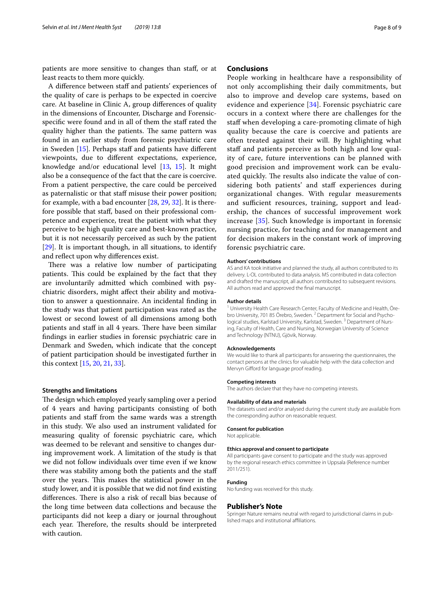patients are more sensitive to changes than staf, or at least reacts to them more quickly.

A difference between staff and patients' experiences of the quality of care is perhaps to be expected in coercive care. At baseline in Clinic A, group diferences of quality in the dimensions of Encounter, Discharge and Forensicspecific were found and in all of them the staff rated the quality higher than the patients. The same pattern was found in an earlier study from forensic psychiatric care in Sweden [[15\]](#page-8-12). Perhaps staff and patients have different viewpoints, due to diferent expectations, experience, knowledge and/or educational level [[13,](#page-8-11) [15\]](#page-8-12). It might also be a consequence of the fact that the care is coercive. From a patient perspective, the care could be perceived as paternalistic or that staff misuse their power position; for example, with a bad encounter [[28](#page-8-25), [29,](#page-8-26) [32](#page-8-29)]. It is therefore possible that staf, based on their professional competence and experience, treat the patient with what they perceive to be high quality care and best-known practice, but it is not necessarily perceived as such by the patient [[29\]](#page-8-26). It is important though, in all situations, to identify and refect upon why diferences exist.

There was a relative low number of participating patients. This could be explained by the fact that they are involuntarily admitted which combined with psychiatric disorders, might afect their ability and motivation to answer a questionnaire. An incidental fnding in the study was that patient participation was rated as the lowest or second lowest of all dimensions among both patients and staff in all 4 years. There have been similar fndings in earlier studies in forensic psychiatric care in Denmark and Sweden, which indicate that the concept of patient participation should be investigated further in this context [[15,](#page-8-12) [20](#page-8-17), [21,](#page-8-18) [33\]](#page-8-30).

#### **Strengths and limitations**

The design which employed yearly sampling over a period of 4 years and having participants consisting of both patients and staff from the same wards was a strength in this study. We also used an instrument validated for measuring quality of forensic psychiatric care, which was deemed to be relevant and sensitive to changes during improvement work. A limitation of the study is that we did not follow individuals over time even if we know there was stability among both the patients and the staf over the years. This makes the statistical power in the study lower, and it is possible that we did not fnd existing differences. There is also a risk of recall bias because of the long time between data collections and because the participants did not keep a diary or journal throughout each year. Therefore, the results should be interpreted with caution.

## **Conclusions**

People working in healthcare have a responsibility of not only accomplishing their daily commitments, but also to improve and develop care systems, based on evidence and experience [[34\]](#page-8-31). Forensic psychiatric care occurs in a context where there are challenges for the staff when developing a care-promoting climate of high quality because the care is coercive and patients are often treated against their will. By highlighting what staff and patients perceive as both high and low quality of care, future interventions can be planned with good precision and improvement work can be evaluated quickly. The results also indicate the value of considering both patients' and staff experiences during organizational changes. With regular measurements and sufficient resources, training, support and leadership, the chances of successful improvement work increase [[35](#page-8-32)]. Such knowledge is important in forensic nursing practice, for teaching and for management and for decision makers in the constant work of improving forensic psychiatric care.

#### **Authors' contributions**

AS and KA took initiative and planned the study, all authors contributed to its delivery. L-OL contributed to data analysis. MS contributed in data collection and drafted the manuscript, all authors contributed to subsequent revisions. All authors read and approved the fnal manuscript.

#### **Author details**

<sup>1</sup> University Health Care Research Center, Faculty of Medicine and Health, Örebro University, 701 85 Örebro, Sweden. <sup>2</sup> Department for Social and Psychological studies, Karlstad University, Karlstad, Sweden.<sup>3</sup> Department of Nursing, Faculty of Health, Care and Nursing, Norwegian University of Science and Technology (NTNU), Gjövik, Norway.

#### **Acknowledgements**

We would like to thank all participants for answering the questionnaires, the contact persons at the clinics for valuable help with the data collection and Mervyn Giford for language proof reading.

#### **Competing interests**

The authors declare that they have no competing interests.

#### **Availability of data and materials**

The datasets used and/or analysed during the current study are available from the corresponding author on reasonable request.

#### **Consent for publication**

Not applicable.

#### **Ethics approval and consent to participate**

All participants gave consent to participate and the study was approved by the regional research ethics committee in Uppsala (Reference number 2011/251).

#### **Funding**

No funding was received for this study.

#### **Publisher's Note**

Springer Nature remains neutral with regard to jurisdictional claims in published maps and institutional afliations.